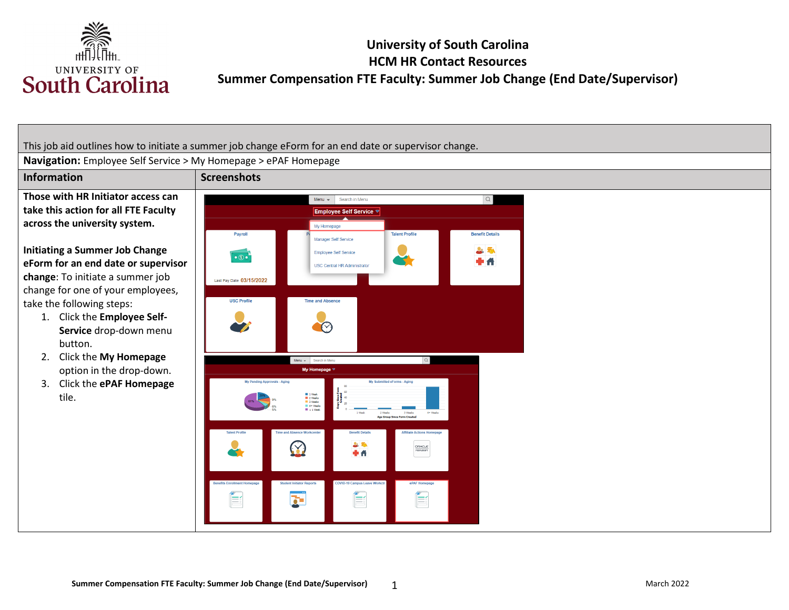

# **University of South Carolina HCM HR Contact Resources Summer Compensation FTE Faculty: Summer Job Change (End Date/Supervisor)**

This job aid outlines how to initiate a summer job change eForm for an end date or supervisor change.

**Navigation:** Employee Self Service > My Homepage > ePAF Homepage

**Those with HR Initiator access can take this action for all FTE Faculty across the university system.** 

#### **Initiating a Summer Job Change eForm for an end date or supervisor change**: To initiate a summer job

change for one of your employees, take the following steps:

- 1. Click the **Employee Self-Service** drop-down menu button.
- 2. Click the **My Homepage**  option in the drop-down.
- 3. Click the **ePAF Homepage**  tile.

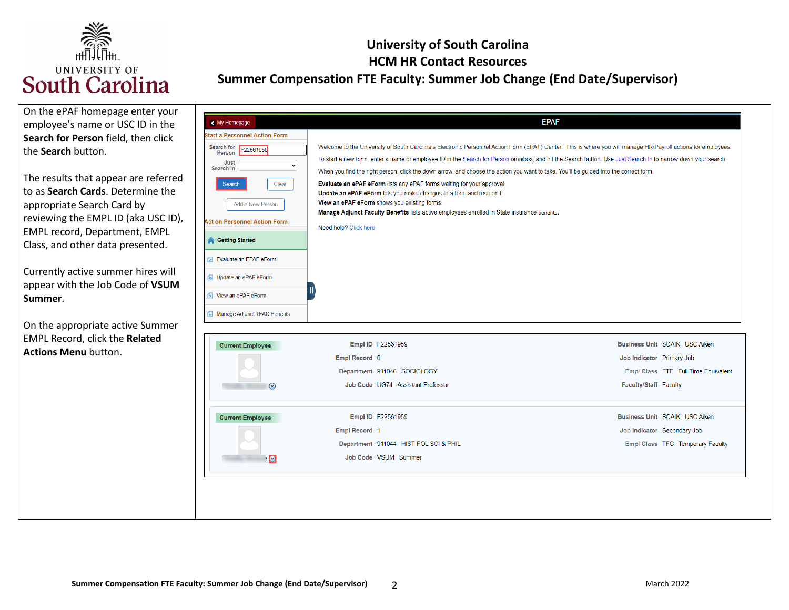

| On the ePAF homepage enter your<br>employee's name or USC ID in the<br>Search for Person field, then click<br>the Search button.<br>The results that appear are referred<br>to as Search Cards. Determine the<br>appropriate Search Card by<br>reviewing the EMPL ID (aka USC ID),<br>EMPL record, Department, EMPL<br>Class, and other data presented.<br>Currently active summer hires will<br>appear with the Job Code of VSUM<br>Summer.<br>On the appropriate active Summer | < My Homepage<br><b>Start a Personnel Action Form</b><br>Search for F22561959<br>Person<br>Just<br>Search In<br>Clear<br><b>Search</b><br>Add a New Person<br><b>Act on Personnel Action Form</b><br><b>Getting Started</b><br><b>7</b> Evaluate an EPAF eForm<br>b Update an ePAF eForm<br><b>1</b> View an ePAF eForm<br>Manage Adjunct TFAC Benefits | Welcome to the University of South Carolina's Electronic Personnel Action Form (EPAF) Center. This is where you will manage HR/Payroll actions for employees.<br>To start a new form, enter a name or employee ID in the Search for Person omnibox, and hit the Search button. Use Just Search In to narrow down your search.<br>When you find the right person, click the down arrow, and choose the action you want to take. You'll be guided into the correct form.<br>Evaluate an ePAF eForm lists any ePAF forms waiting for your approval.<br>Update an ePAF eForm lets you make changes to a form and resubmit.<br>View an ePAF eForm shows you existing forms.<br>Manage Adjunct Faculty Benefits lists active employees enrolled in State insurance benefits.<br>Need help? Click here | <b>EPAF</b>                                                                                                                                                                                                                           |
|----------------------------------------------------------------------------------------------------------------------------------------------------------------------------------------------------------------------------------------------------------------------------------------------------------------------------------------------------------------------------------------------------------------------------------------------------------------------------------|---------------------------------------------------------------------------------------------------------------------------------------------------------------------------------------------------------------------------------------------------------------------------------------------------------------------------------------------------------|-------------------------------------------------------------------------------------------------------------------------------------------------------------------------------------------------------------------------------------------------------------------------------------------------------------------------------------------------------------------------------------------------------------------------------------------------------------------------------------------------------------------------------------------------------------------------------------------------------------------------------------------------------------------------------------------------------------------------------------------------------------------------------------------------|---------------------------------------------------------------------------------------------------------------------------------------------------------------------------------------------------------------------------------------|
| <b>EMPL Record, click the Related</b><br><b>Actions Menu button.</b>                                                                                                                                                                                                                                                                                                                                                                                                             | <b>Current Employee</b><br>$\odot$<br><b>Current Employee</b><br>$\Box$                                                                                                                                                                                                                                                                                 | Empl ID F22561959<br>Empl Record 0<br>Department 911046 SOCIOLOGY<br>Job Code UG74 Assistant Professor<br>Empl ID F22561959<br>Empl Record 1<br>Department 911044 HIST POL SCI & PHIL<br>Job Code VSUM Summer                                                                                                                                                                                                                                                                                                                                                                                                                                                                                                                                                                                   | <b>Business Unit SCAIK USC Aiken</b><br>Job Indicator Primary Job<br>Empl Class FTE Full Time Equivalent<br>Faculty/Staff Faculty<br>Business Unit SCAIK USC Aiken<br>Job Indicator Secondary Job<br>Empl Class TFC Temporary Faculty |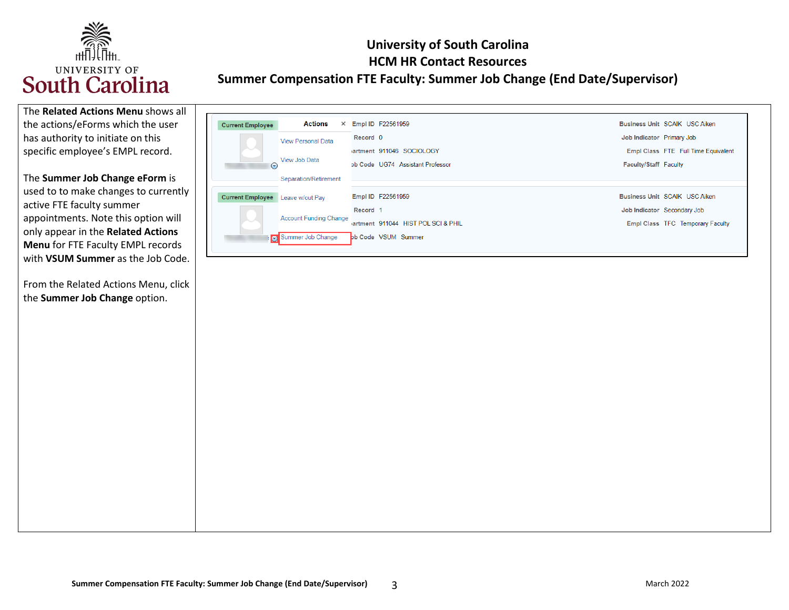

 the actions/eForms which the user has authority to initiate on this The **Related Actions Menu** shows all specific employee's EMPL record.

 used to to make changes to currently The **Summer Job Change eForm** is active FTE faculty summer appointments. Note this option will only appear in the **Related Actions Menu** for FTE Faculty EMPL records with **VSUM Summer** as the Job Code.

 From the Related Actions Menu, click the **Summer Job Change** option.

| <b>Current Employee</b> | Actions<br>$\times$           |                     | <b>Empl ID F22561959</b>            |                           | Business Unit SCAIK USC Aiken       |
|-------------------------|-------------------------------|---------------------|-------------------------------------|---------------------------|-------------------------------------|
|                         | <b>View Personal Data</b>     | Record 0            |                                     | Job Indicator Primary Job |                                     |
| ヘン                      |                               |                     | lartment 911046 SOCIOLOGY           |                           | Empl Class FTE Full Time Equivalent |
| $\odot$                 | View Job Data                 |                     | pb Code UG74 Assistant Professor    | Faculty/Staff Faculty     |                                     |
|                         | Separation/Retirement         |                     |                                     |                           |                                     |
| <b>Current Employee</b> | Leave w/out Pay               |                     | Empl ID F22561959                   |                           | Business Unit SCAIK USC Aiken       |
|                         |                               | Record <sub>1</sub> |                                     |                           | Job Indicator Secondary Job         |
|                         | <b>Account Funding Change</b> |                     | jartment 911044 HIST POL SCI & PHIL |                           | Empl Class TFC Temporary Faculty    |
|                         | Summer Job Change             |                     | bb Code VSUM Summer                 |                           |                                     |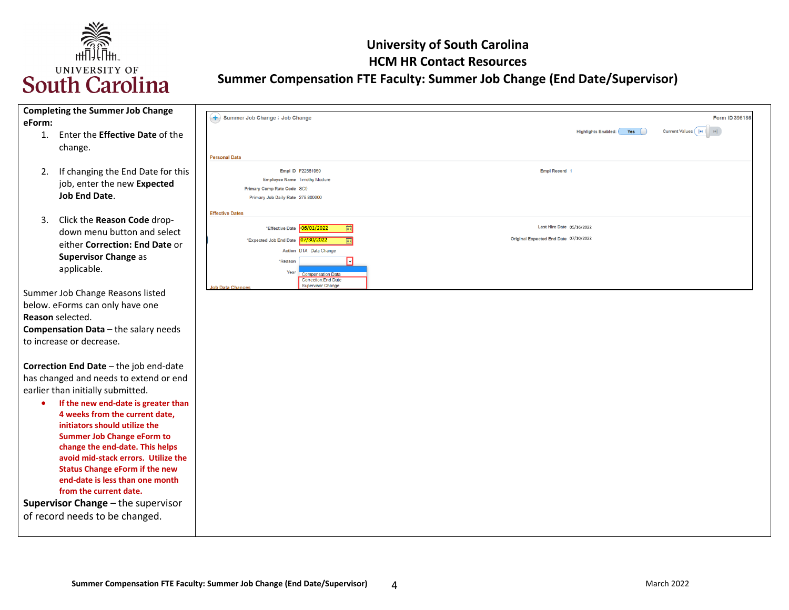

| <b>Completing the Summer Job Change</b>                  |                                                                                   |                     |
|----------------------------------------------------------|-----------------------------------------------------------------------------------|---------------------|
| eForm:                                                   | Summer Job Change : Job Change                                                    | Form ID 396186      |
| Enter the <b>Effective Date</b> of the<br>$\mathbf{1}$ . | Yes<br><b>Highlights Enabled:</b>                                                 | Current Values    4 |
| change.                                                  |                                                                                   |                     |
|                                                          | <b>Personal Data</b>                                                              |                     |
| If changing the End Date for this<br>2.                  | Empl ID F22561959<br>Empl Record 1                                                |                     |
| job, enter the new Expected                              | <b>Employee Name Timothy Mcclure</b>                                              |                     |
| <b>Job End Date.</b>                                     | Primary Comp Rate Code SC9<br>Primary Job Daily Rate 278.800000                   |                     |
|                                                          |                                                                                   |                     |
|                                                          | <b>Effective Dates</b>                                                            |                     |
| Click the Reason Code drop-<br>3.                        | Last Hire Date 05/16/2022<br>"Effective Date 06/01/2022                           |                     |
| down menu button and select                              | Original Expected End Date 07/10/2022<br>*Expected Job End Date 07/30/2022        |                     |
| either Correction: End Date or                           | Action DTA Data Change                                                            |                     |
| <b>Supervisor Change as</b>                              | *Reason                                                                           |                     |
| applicable.                                              | Year<br><b>Compensation Data</b>                                                  |                     |
|                                                          | <b>Correction:End Date</b><br><b>Supervisor Change</b><br><b>Job Data Changes</b> |                     |
| Summer Job Change Reasons listed                         |                                                                                   |                     |
| below. eForms can only have one                          |                                                                                   |                     |
| Reason selected.                                         |                                                                                   |                     |
| Compensation Data - the salary needs                     |                                                                                   |                     |
| to increase or decrease.                                 |                                                                                   |                     |
|                                                          |                                                                                   |                     |
| Correction End Date - the job end-date                   |                                                                                   |                     |
| has changed and needs to extend or end                   |                                                                                   |                     |
| earlier than initially submitted.                        |                                                                                   |                     |
| If the new end-date is greater than<br>٠                 |                                                                                   |                     |
| 4 weeks from the current date,                           |                                                                                   |                     |
| initiators should utilize the                            |                                                                                   |                     |
| <b>Summer Job Change eForm to</b>                        |                                                                                   |                     |
| change the end-date. This helps                          |                                                                                   |                     |
| avoid mid-stack errors. Utilize the                      |                                                                                   |                     |
| <b>Status Change eForm if the new</b>                    |                                                                                   |                     |
| end-date is less than one month                          |                                                                                   |                     |
| from the current date.                                   |                                                                                   |                     |
| Supervisor Change - the supervisor                       |                                                                                   |                     |
| of record needs to be changed.                           |                                                                                   |                     |
|                                                          |                                                                                   |                     |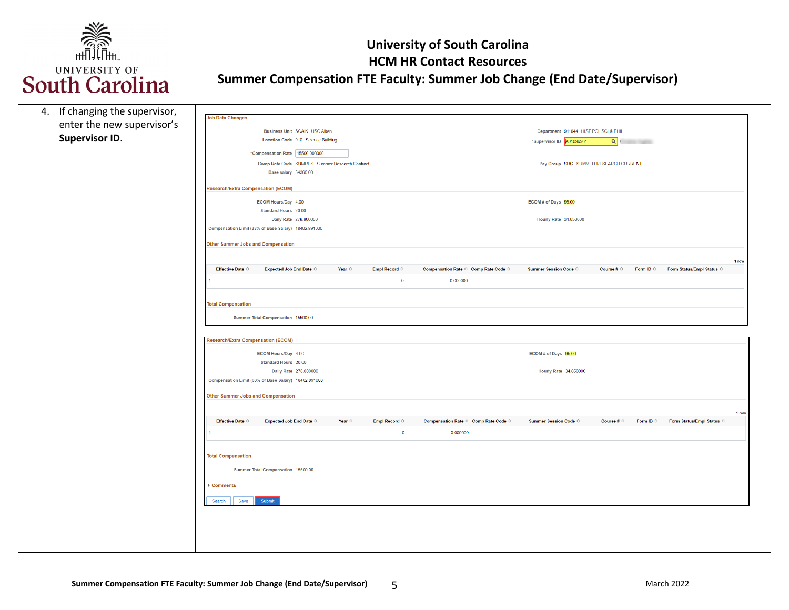

| 4. If changing the supervisor, |                                           |                                                      |                 |                         |                                      |                                       |                     |                    |                                    |       |
|--------------------------------|-------------------------------------------|------------------------------------------------------|-----------------|-------------------------|--------------------------------------|---------------------------------------|---------------------|--------------------|------------------------------------|-------|
| enter the new supervisor's     | <b>Job Data Changes</b>                   |                                                      |                 |                         |                                      |                                       |                     |                    |                                    |       |
|                                |                                           | Business Unit SCAIK USC Aiken                        |                 |                         |                                      | Department 911044 HIST POL SCI & PHIL |                     |                    |                                    |       |
| <b>Supervisor ID.</b>          |                                           | Location Code 910 Science Building                   |                 |                         |                                      | *Supervisor ID 401099961              | $\alpha$            |                    |                                    |       |
|                                |                                           | "Compensation Rate 15500.000000                      |                 |                         |                                      |                                       |                     |                    |                                    |       |
|                                |                                           | Comp Rate Code SUMRES Summer Research Contract       |                 |                         |                                      | Pay Group SRC SUMMER RESEARCH CURRENT |                     |                    |                                    |       |
|                                |                                           | Base salary 54366.00                                 |                 |                         |                                      |                                       |                     |                    |                                    |       |
|                                | <b>Research/Extra Compensation (ECOM)</b> |                                                      |                 |                         |                                      |                                       |                     |                    |                                    |       |
|                                |                                           |                                                      |                 |                         |                                      |                                       |                     |                    |                                    |       |
|                                |                                           | ECOM Hours/Day 4.00<br>Standard Hours 20.00          |                 |                         |                                      | ECOM # of Days 95.00                  |                     |                    |                                    |       |
|                                |                                           | Daily Rate 278.800000                                |                 |                         |                                      | Hourly Rate 34.850000                 |                     |                    |                                    |       |
|                                |                                           | Compensation Limit (33% of Base Salary) 18402.891000 |                 |                         |                                      |                                       |                     |                    |                                    |       |
|                                |                                           |                                                      |                 |                         |                                      |                                       |                     |                    |                                    |       |
|                                | Other Summer Jobs and Compensation        |                                                      |                 |                         |                                      |                                       |                     |                    |                                    |       |
|                                |                                           |                                                      |                 |                         |                                      |                                       |                     |                    |                                    | 1 row |
|                                | <b>Effective Date ©</b>                   | <b>Expected Job End Date C</b>                       | Year $\diamond$ | Empl Record $\diamond$  | Compensation Rate © Comp Rate Code © | Summer Session Code $\Diamond$        | Course # $\Diamond$ | Form ID $\Diamond$ | Form Status/Empl Status $\diamond$ |       |
|                                |                                           |                                                      |                 | $\overline{\mathbf{0}}$ | 0.000000                             |                                       |                     |                    |                                    |       |
|                                |                                           |                                                      |                 |                         |                                      |                                       |                     |                    |                                    |       |
|                                | <b>Total Compensation</b>                 |                                                      |                 |                         |                                      |                                       |                     |                    |                                    |       |
|                                |                                           | Summer Total Compensation 15500.00                   |                 |                         |                                      |                                       |                     |                    |                                    |       |
|                                |                                           |                                                      |                 |                         |                                      |                                       |                     |                    |                                    |       |
|                                | Research/Extra Compensation (ECOM)        |                                                      |                 |                         |                                      |                                       |                     |                    |                                    |       |
|                                |                                           |                                                      |                 |                         |                                      |                                       |                     |                    |                                    |       |
|                                |                                           | ECOM Hours/Day 4.00<br>Standard Hours 20.00          |                 |                         |                                      | ECOM # of Days 95.00                  |                     |                    |                                    |       |
|                                |                                           | Daily Rate 278.800000                                |                 |                         |                                      | Hourly Rate 34.850000                 |                     |                    |                                    |       |
|                                |                                           | Compensation Limit (33% of Base Salary) 18402.891000 |                 |                         |                                      |                                       |                     |                    |                                    |       |
|                                |                                           |                                                      |                 |                         |                                      |                                       |                     |                    |                                    |       |
|                                | <b>Other Summer Jobs and Compensation</b> |                                                      |                 |                         |                                      |                                       |                     |                    |                                    |       |
|                                |                                           |                                                      |                 |                         |                                      |                                       |                     |                    |                                    | 1 row |
|                                | <b>Effective Date C</b>                   | <b>Expected Job End Date C</b>                       | Year $\diamond$ | Empl Record ©           | Compensation Rate © Comp Rate Code © | <b>Summer Session Code ©</b>          | Course # $\Diamond$ | Form ID $\circ$    | Form Status/Empl Status C          |       |
|                                | $\mathbf{1}$                              |                                                      |                 | $\bullet$               | 0.000000                             |                                       |                     |                    |                                    |       |
|                                |                                           |                                                      |                 |                         |                                      |                                       |                     |                    |                                    |       |
|                                | <b>Total Compensation</b>                 |                                                      |                 |                         |                                      |                                       |                     |                    |                                    |       |
|                                |                                           | Summer Total Compensation 15500.00                   |                 |                         |                                      |                                       |                     |                    |                                    |       |
|                                |                                           |                                                      |                 |                         |                                      |                                       |                     |                    |                                    |       |
|                                | ▶ Comments                                |                                                      |                 |                         |                                      |                                       |                     |                    |                                    |       |
|                                | Save<br>Search                            | Submit                                               |                 |                         |                                      |                                       |                     |                    |                                    |       |
|                                |                                           |                                                      |                 |                         |                                      |                                       |                     |                    |                                    |       |
|                                |                                           |                                                      |                 |                         |                                      |                                       |                     |                    |                                    |       |
|                                |                                           |                                                      |                 |                         |                                      |                                       |                     |                    |                                    |       |
|                                |                                           |                                                      |                 |                         |                                      |                                       |                     |                    |                                    |       |
|                                |                                           |                                                      |                 |                         |                                      |                                       |                     |                    |                                    |       |